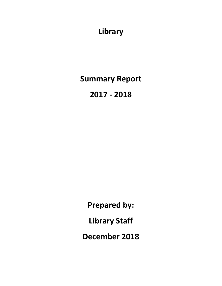**Library**

**Summary Report**

**2017 - 2018**

**Prepared by: Library Staff December 2018**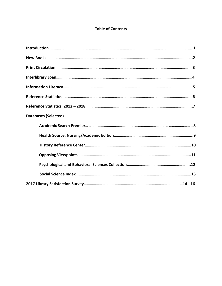### **Table of Contents**

| <b>Databases (Selected)</b> |
|-----------------------------|
|                             |
|                             |
|                             |
|                             |
|                             |
|                             |
|                             |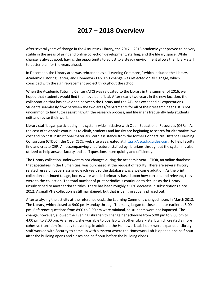# **2017 – 2018 Overview**

After several years of change in the Asnuntuck Library, the 2017 – 2018 academic year proved to be very stable in the areas of print and online collection development, staffing, and the library space. While change is always good, having the opportunity to adjust to a steady environment allows the library staff to better plan for the years ahead.

In December, the Library area was rebranded as a "Learning Commons," which included the Library, Academic Tutoring Center, and Homework Lab. This change was reflected on all signage, which coincided with the sign replacement project throughout the school.

When the Academic Tutoring Center (ATC) was relocated to the Library in the summer of 2016, we hoped that students would find the move beneficial. After nearly two years in the new location, the collaboration that has developed between the Library and the ATC has exceeded all expectations. Students seamlessly flow between the two areas/departments for all of their research needs. It is not uncommon to find tutors assisting with the research process, and librarians frequently help students edit and revise their work.

Library staff began participating in a system-wide initiative with Open Educational Resources (OERs). As the cost of textbooks continues to climb, students and faculty are beginning to search for alternative low cost and no cost instructional materials. With assistance from the former Connecticut Distance Learning Consortium (CTDLC), the OpenCSCU web site was created at  $\text{https://ccu.libguides.com}$  to help faculty find and create OER. An accompanying chat feature, staffed by librarians throughout the system, is also utilized to help answer faculty and staff questions more quickly and efficiently.

The Library collection underwent minor changes during the academic year. JSTOR, an online database that specializes in the Humanities, was purchased at the request of faculty. There are several history related research papers assigned each year, so the database was a welcome addition. As the print collection continued to age, books were weeded primarily based upon how current, and relevant, they were to the collection. The total number of print periodicals continued to decline as the Library unsubscribed to another dozen titles. There has been roughly a 50% decrease in subscriptions since 2012. A small VHS collection is still maintained, but that is being gradually phased out.

After analyzing the activity at the reference desk, the Learning Commons changed hours in March 2018. The Library, which closed at 9:00 pm Monday through Thursday, began to close an hour earlier at 8:00 pm. Reference questions from 8:00 to 9:00 pm were minimal, so students were not impacted. The change, however, allowed the Evening Librarian to change her schedule from 5:00 pm to 9:00 pm to 4:00 pm to 8:00 pm. As a result, she was able to overlap with other Library staff, which created a more cohesive transition from day to evening. In addition, the Homework Lab hours were expanded. Library staff worked with Security to come up with a system where the Homework Lab is opened one half hour after the building opens and closes one half hour before the building closes.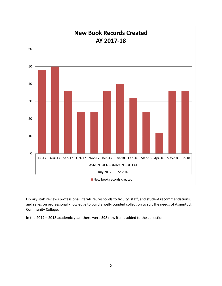

Library staff reviews professional literature, responds to faculty, staff, and student recommendations, and relies on professional knowledge to build a well-rounded collection to suit the needs of Asnuntuck Community College.

In the 2017 – 2018 academic year, there were 398 new items added to the collection.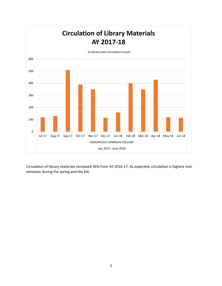

Circulation of library materials increased 36% from AY 2016-17. As expected, circulation is highest midsemester during the spring and the fall.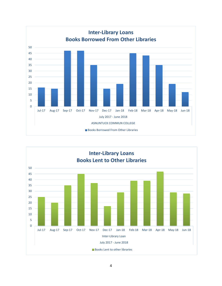

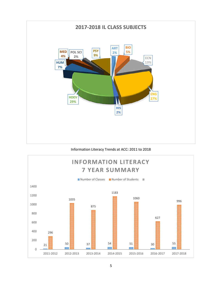

#### Information Literacy Trends at ACC: 2011 to 2018

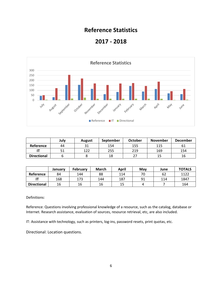### **Reference Statistics**

### **2017 - 2018**



|                    | July | <b>August</b> | September | <b>October</b> | <b>November</b> | <b>December</b> |
|--------------------|------|---------------|-----------|----------------|-----------------|-----------------|
| Reference          | 44   |               | 154       | 155            | 115             | 61              |
|                    |      | 1つつ           | 255       | 219            | 169             | 154             |
| <b>Directional</b> |      |               | 18        | າາ             |                 | 16              |

|                    | January | <b>February</b> | <b>March</b> | April | May | June | <b>TOTALS</b> |
|--------------------|---------|-----------------|--------------|-------|-----|------|---------------|
| Reference          | 84      | 144             | 88           | 114   | 70  | 62   | 1122          |
|                    | 168     | 173             | 144          | 187   | 91  | 114  | 1847          |
| <b>Directional</b> | 16      | 16              | 16           | 15    |     |      | 164           |

Definitions:

Reference: Questions involving professional knowledge of a resource, such as the catalog, database or Internet. Research assistance, evaluation of sources, resource retrieval, etc, are also included.

IT: Assistance with technology, such as printers, log-ins, password resets, print quotas, etc.

Directional: Location questions.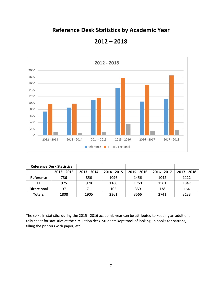## **Reference Desk Statistics by Academic Year**



**2012 – 2018**

|                    | <b>Reference Desk Statistics</b> |             |             |             |             |             |
|--------------------|----------------------------------|-------------|-------------|-------------|-------------|-------------|
|                    | 2012 - 2013                      | 2013 - 2014 | 2014 - 2015 | 2015 - 2016 | 2016 - 2017 | 2017 - 2018 |
| Reference          | 736                              | 856         | 1096        | 1456        | 1042        | 1122        |
|                    | 975                              | 978         | 1160        | 1760        | 1561        | 1847        |
| <b>Directional</b> | 97                               | 71          | 105         | 350         | 138         | 164         |
| Totals:            | 1808                             | 1905        | 2361        | 3566        | 2741        | 3133        |

The spike in statistics during the 2015 - 2016 academic year can be attributed to keeping an additional tally sheet for statistics at the circulation desk. Students kept track of looking up books for patrons, filling the printers with paper, etc.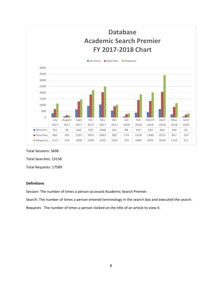

Total Sessions: 5606

Total Searches: 13158

Total Requests: 17589

#### **Definitions**

Session: The number of times a person accessed Academic Search Premier.

Search: The number of times a person entered terminology in the search box and executed the search.

Requests: The number of times a person clicked on the title of an article to view it.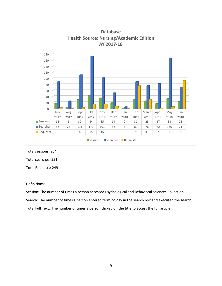

Total sessions: 264

Total searches: 951

Total Requests: 249

#### Definitions:

Session: The number of times a person accessed Psychological and Behavioral Sciences Collection.

Search: The number of times a person entered terminology in the search box and executed the search.

Total Full Text: The number of times a person clicked on the title to access the full article.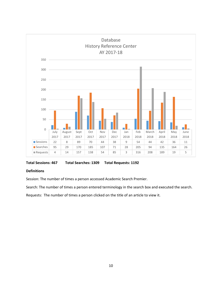

**Total Sessions: 467 Total Searches: 1309 Total Requests: 1192**

#### **Definitions**

Session: The number of times a person accessed Academic Search Premier.

Search: The number of times a person entered terminology in the search box and executed the search.

Requests: The number of times a person clicked on the title of an article to view it.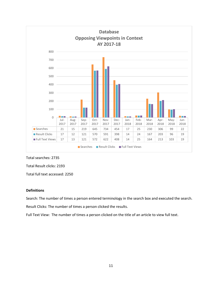

#### Total searches: 2735

Total Result clicks: 2193

Total full text accessed: 2250

#### **Definitions**

Search: The number of times a person entered terminology in the search box and executed the search.

Result Clicks: The number of times a person clicked the results.

Full Text View: The number of times a person clicked on the title of an article to view full text.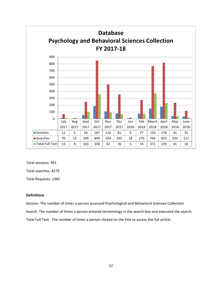

Total sessions: 941

Total searches: 4273

Total Requests: 1382

#### **Definitions**

Session: The number of times a person accessed Psychological and Behavioral Sciences Collection.

Search: The number of times a person entered terminology in the search box and executed the search.

Total Full Text: The number of times a person clicked on the title to access the full article.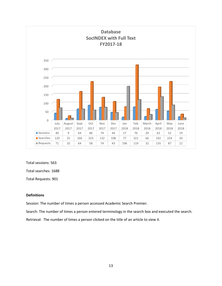

Total sessions: 563

Total searches: 1688

Total Requests: 901

#### **Definitions**

Session: The number of times a person accessed Academic Search Premier.

Search: The number of times a person entered terminology in the search box and executed the search.

Retrieval: The number of times a person clicked on the title of an article to view it.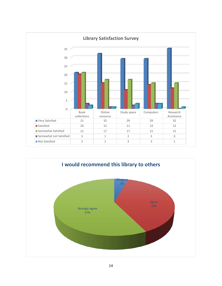

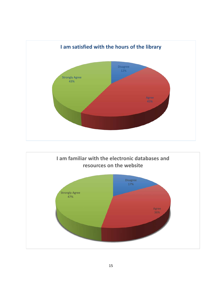